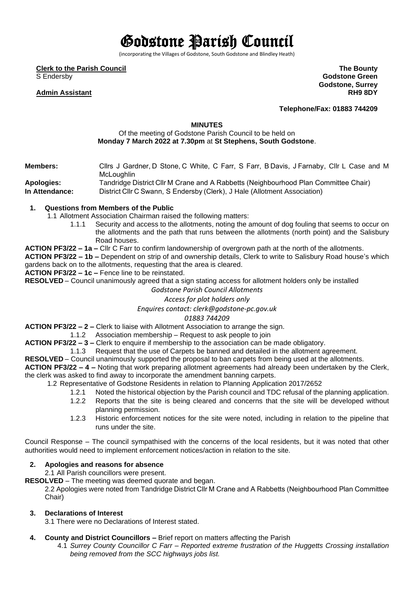# Godstone Parish Council

(incorporating the Villages of Godstone, South Godstone and Blindley Heath)

**Clerk to the Parish Council**

S Endersby

#### **Admin Assistant**

**The Bounty Godstone Green Godstone, Surrey RH9 8DY**

**Telephone/Fax: 01883 744209**

#### **MINUTES**

### Of the meeting of Godstone Parish Council to be held on **Monday 7 March 2022 at 7.30pm** at **St Stephens, South Godstone**.

**Members:**             Cllrs J Gardner, D Stone, C White, C Farr, S Farr, B Davis, J Farnaby, Cllr L Case and M **McLoughlin Apologies:** Tandridge District Cllr M Crane and A Rabbetts (Neighbourhood Plan Committee Chair)

**In Attendance:**     District Cllr C Swann, S Endersby (Clerk), J Hale (Allotment Association)

#### **1. Questions from Members of the Public**

- 1.1 Allotment Association Chairman raised the following matters:
	- 1.1.1 Security and access to the allotments, noting the amount of dog fouling that seems to occur on the allotments and the path that runs between the allotments (north point) and the Salisbury Road houses.
- **ACTION PF3/22 – 1a –** Cllr C Farr to confirm landownership of overgrown path at the north of the allotments.

**ACTION PF3/22 – 1b –** Dependent on strip of and ownership details, Clerk to write to Salisbury Road house's which gardens back on to the allotments, requesting that the area is cleared.

**ACTION PF3/22 – 1c –** Fence line to be reinstated.

**RESOLVED** – Council unanimously agreed that a sign stating access for allotment holders only be installed

# *Godstone Parish Council Allotments*

# *Access for plot holders only*

#### *Enquires contact: clerk@godstone-pc.gov.uk*

*01883 744209*

**ACTION PF3/22 – 2 –** Clerk to liaise with Allotment Association to arrange the sign.

1.1.2 Association membership – Request to ask people to join

**ACTION PF3/22 – 3 –** Clerk to enquire if membership to the association can be made obligatory.

1.1.3 Request that the use of Carpets be banned and detailed in the allotment agreement.

**RESOLVED** – Council unanimously supported the proposal to ban carpets from being used at the allotments.

**ACTION PF3/22 – 4 –** Noting that work preparing allotment agreements had already been undertaken by the Clerk, the clerk was asked to find away to incorporate the amendment banning carpets.

- 1.2 Representative of Godstone Residents in relation to Planning Application 2017/2652
	- 1.2.1 Noted the historical objection by the Parish council and TDC refusal of the planning application.
		- 1.2.2 Reports that the site is being cleared and concerns that the site will be developed without planning permission.
	- 1.2.3 Historic enforcement notices for the site were noted, including in relation to the pipeline that runs under the site.

Council Response – The council sympathised with the concerns of the local residents, but it was noted that other authorities would need to implement enforcement notices/action in relation to the site.

#### **2. Apologies and reasons for absence**

2.1 All Parish councillors were present.

**RESOLVED** – The meeting was deemed quorate and began.

2.2 Apologies were noted from Tandridge District Cllr M Crane and A Rabbetts (Neighbourhood Plan Committee Chair)

#### **3. Declarations of Interest**

3.1 There were no Declarations of Interest stated.

- **4. County and District Councillors –** Brief report on matters affecting the Parish
	- 4.1 *Surrey County Councillor C Farr – Reported extreme frustration of the Huggetts Crossing installation being removed from the SCC highways jobs list.*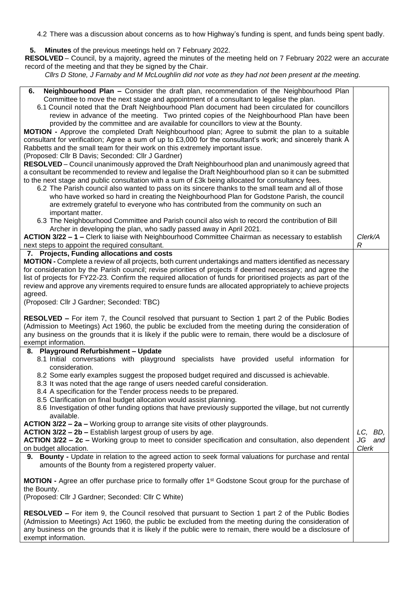4.2 There was a discussion about concerns as to how Highway's funding is spent, and funds being spent badly.

**5. Minutes** of the previous meetings held on 7 February 2022.

**RESOLVED** – Council, by a majority, agreed the minutes of the meeting held on 7 February 2022 were an accurate record of the meeting and that they be signed by the Chair.

*Cllrs D Stone, J Farnaby and M McLoughlin did not vote as they had not been present at the meeting.*

| 6.                                                                                                                                                                                                                          |                      |
|-----------------------------------------------------------------------------------------------------------------------------------------------------------------------------------------------------------------------------|----------------------|
| Neighbourhood Plan - Consider the draft plan, recommendation of the Neighbourhood Plan<br>Committee to move the next stage and appointment of a consultant to legalise the plan.                                            |                      |
| 6.1 Council noted that the Draft Neighbourhood Plan document had been circulated for councillors                                                                                                                            |                      |
| review in advance of the meeting. Two printed copies of the Neighbourhood Plan have been                                                                                                                                    |                      |
| provided by the committee and are available for councillors to view at the Bounty.                                                                                                                                          |                      |
| <b>MOTION</b> - Approve the completed Draft Neighbourhood plan; Agree to submit the plan to a suitable                                                                                                                      |                      |
| consultant for verification; Agree a sum of up to £3,000 for the consultant's work; and sincerely thank A                                                                                                                   |                      |
| Rabbetts and the small team for their work on this extremely important issue.                                                                                                                                               |                      |
| (Proposed: Cllr B Davis; Seconded: Cllr J Gardner)                                                                                                                                                                          |                      |
| RESOLVED - Council unanimously approved the Draft Neighbourhood plan and unanimously agreed that<br>a consultant be recommended to review and legalise the Draft Neighbourhood plan so it can be submitted                  |                      |
| to the next stage and public consultation with a sum of £3k being allocated for consultancy fees.                                                                                                                           |                      |
| 6.2 The Parish council also wanted to pass on its sincere thanks to the small team and all of those                                                                                                                         |                      |
| who have worked so hard in creating the Neighbourhood Plan for Godstone Parish, the council                                                                                                                                 |                      |
| are extremely grateful to everyone who has contributed from the community on such an                                                                                                                                        |                      |
| important matter.                                                                                                                                                                                                           |                      |
| 6.3 The Neighbourhood Committee and Parish council also wish to record the contribution of Bill                                                                                                                             |                      |
| Archer in developing the plan, who sadly passed away in April 2021.                                                                                                                                                         |                      |
| ACTION 3/22 - 1 - Clerk to liaise with Neighbourhood Committee Chairman as necessary to establish                                                                                                                           | Clerk/A              |
| next steps to appoint the required consultant.                                                                                                                                                                              | R                    |
| 7. Projects, Funding allocations and costs                                                                                                                                                                                  |                      |
| MOTION - Complete a review of all projects, both current undertakings and matters identified as necessary                                                                                                                   |                      |
| for consideration by the Parish council; revise priorities of projects if deemed necessary; and agree the<br>list of projects for FY22-23. Confirm the required allocation of funds for prioritised projects as part of the |                      |
| review and approve any virements required to ensure funds are allocated appropriately to achieve projects                                                                                                                   |                      |
| agreed.                                                                                                                                                                                                                     |                      |
| (Proposed: Cllr J Gardner; Seconded: TBC)                                                                                                                                                                                   |                      |
|                                                                                                                                                                                                                             |                      |
| <b>RESOLVED –</b> For item 7, the Council resolved that pursuant to Section 1 part 2 of the Public Bodies                                                                                                                   |                      |
| (Admission to Meetings) Act 1960, the public be excluded from the meeting during the consideration of                                                                                                                       |                      |
| any business on the grounds that it is likely if the public were to remain, there would be a disclosure of                                                                                                                  |                      |
| exempt information.                                                                                                                                                                                                         |                      |
|                                                                                                                                                                                                                             |                      |
| 8. Playground Refurbishment - Update                                                                                                                                                                                        |                      |
| 8.1 Initial conversations with playground specialists have provided useful information for<br>consideration.                                                                                                                |                      |
| 8.2 Some early examples suggest the proposed budget required and discussed is achievable.                                                                                                                                   |                      |
| 8.3 It was noted that the age range of users needed careful consideration.                                                                                                                                                  |                      |
| 8.4 A specification for the Tender process needs to be prepared.                                                                                                                                                            |                      |
| 8.5 Clarification on final budget allocation would assist planning.                                                                                                                                                         |                      |
| 8.6 Investigation of other funding options that have previously supported the village, but not currently                                                                                                                    |                      |
| available.                                                                                                                                                                                                                  |                      |
| ACTION 3/22 - 2a - Working group to arrange site visits of other playgrounds.                                                                                                                                               |                      |
| ACTION 3/22 - 2b - Establish largest group of users by age.                                                                                                                                                                 | LC, BD,<br>JG<br>and |
| ACTION 3/22 - 2c - Working group to meet to consider specification and consultation, also dependent<br>on budget allocation.                                                                                                | Clerk                |
| 9. Bounty - Update in relation to the agreed action to seek formal valuations for purchase and rental                                                                                                                       |                      |
| amounts of the Bounty from a registered property valuer.                                                                                                                                                                    |                      |
| <b>MOTION</b> - Agree an offer purchase price to formally offer 1 <sup>st</sup> Godstone Scout group for the purchase of                                                                                                    |                      |
| the Bounty.                                                                                                                                                                                                                 |                      |
| (Proposed: Cllr J Gardner; Seconded: Cllr C White)                                                                                                                                                                          |                      |
|                                                                                                                                                                                                                             |                      |
| <b>RESOLVED –</b> For item 9, the Council resolved that pursuant to Section 1 part 2 of the Public Bodies                                                                                                                   |                      |
| (Admission to Meetings) Act 1960, the public be excluded from the meeting during the consideration of<br>any business on the grounds that it is likely if the public were to remain, there would be a disclosure of         |                      |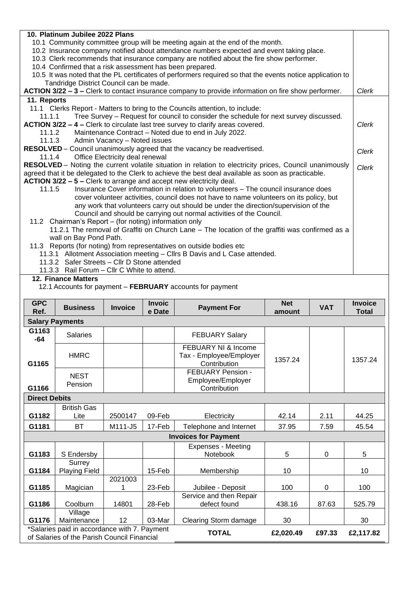| 10. Platinum Jubilee 2022 Plans                                                                            |       |  |  |  |  |  |
|------------------------------------------------------------------------------------------------------------|-------|--|--|--|--|--|
| 10.1 Community committee group will be meeting again at the end of the month.                              |       |  |  |  |  |  |
| 10.2 Insurance company notified about attendance numbers expected and event taking place.                  |       |  |  |  |  |  |
| 10.3 Clerk recommends that insurance company are notified about the fire show performer.                   |       |  |  |  |  |  |
| 10.4 Confirmed that a risk assessment has been prepared.                                                   |       |  |  |  |  |  |
| 10.5 It was noted that the PL certificates of performers required so that the events notice application to |       |  |  |  |  |  |
| Tandridge District Council can be made.                                                                    |       |  |  |  |  |  |
| ACTION 3/22 - 3 - Clerk to contact insurance company to provide information on fire show performer.        | Clerk |  |  |  |  |  |
| 11. Reports                                                                                                |       |  |  |  |  |  |
| 11.1 Clerks Report - Matters to bring to the Councils attention, to include:                               |       |  |  |  |  |  |
| Tree Survey – Request for council to consider the schedule for next survey discussed.<br>11.1.1            |       |  |  |  |  |  |
| ACTION 3/22 - 4 - Clerk to circulate last tree survey to clarify areas covered.                            | Clerk |  |  |  |  |  |
| 11.1.2 Maintenance Contract – Noted due to end in July 2022.                                               |       |  |  |  |  |  |
| 11.1.3 Admin Vacancy - Noted issues                                                                        |       |  |  |  |  |  |
| RESOLVED - Council unanimously agreed that the vacancy be readvertised.                                    | Clerk |  |  |  |  |  |
| 11.1.4 Office Electricity deal renewal                                                                     |       |  |  |  |  |  |
| RESOLVED – Noting the current volatile situation in relation to electricity prices, Council unanimously    | Clerk |  |  |  |  |  |
| agreed that it be delegated to the Clerk to achieve the best deal available as soon as practicable.        |       |  |  |  |  |  |
| ACTION 3/22 - 5 - Clerk to arrange and accept new electricity deal.                                        |       |  |  |  |  |  |
| 11.1.5<br>Insurance Cover information in relation to volunteers - The council insurance does               |       |  |  |  |  |  |
| cover volunteer activities, council does not have to name volunteers on its policy, but                    |       |  |  |  |  |  |
| any work that volunteers carry out should be under the direction/supervision of the                        |       |  |  |  |  |  |
| Council and should be carrying out normal activities of the Council.                                       |       |  |  |  |  |  |
| 11.2 Chairman's Report – (for noting) information only                                                     |       |  |  |  |  |  |
| 11.2.1 The removal of Graffiti on Church Lane - The location of the graffiti was confirmed as a            |       |  |  |  |  |  |
| wall on Bay Pond Path.                                                                                     |       |  |  |  |  |  |
| 11.3 Reports (for noting) from representatives on outside bodies etc                                       |       |  |  |  |  |  |
| 11.3.1 Allotment Association meeting - Cllrs B Davis and L Case attended.                                  |       |  |  |  |  |  |
| 11.3.2 Safer Streets - Cllr D Stone attended                                                               |       |  |  |  |  |  |
| 11.3.3 Rail Forum - Cllr C White to attend.                                                                |       |  |  |  |  |  |

## **12. Finance Matters**

12.1 Accounts for payment – **FEBRUARY** accounts for payment

| <b>GPC</b><br>Ref.                                                                          | <b>Business</b>                | <b>Invoice</b> | <b>Invoic</b><br>e Date | <b>Payment For</b>                                                        | <b>Net</b><br>amount | <b>VAT</b> | <b>Invoice</b><br><b>Total</b> |  |  |  |
|---------------------------------------------------------------------------------------------|--------------------------------|----------------|-------------------------|---------------------------------------------------------------------------|----------------------|------------|--------------------------------|--|--|--|
| <b>Salary Payments</b>                                                                      |                                |                |                         |                                                                           |                      |            |                                |  |  |  |
| G1163<br>$-64$                                                                              | <b>Salaries</b>                |                |                         | <b>FEBUARY Salary</b>                                                     |                      |            |                                |  |  |  |
| G1165                                                                                       | <b>HMRC</b>                    |                |                         | <b>FEBUARY NI &amp; Income</b><br>Tax - Employee/Employer<br>Contribution | 1357.24              |            | 1357.24                        |  |  |  |
| G1166                                                                                       | <b>NEST</b><br>Pension         |                |                         | <b>FEBUARY Pension -</b><br>Employee/Employer<br>Contribution             |                      |            |                                |  |  |  |
| <b>Direct Debits</b>                                                                        |                                |                |                         |                                                                           |                      |            |                                |  |  |  |
| G1182                                                                                       | <b>British Gas</b><br>Lite     | 2500147        | 09-Feb                  | Electricity                                                               | 42.14                | 2.11       | 44.25                          |  |  |  |
| G1181                                                                                       | <b>BT</b>                      | M111-J5        | 17-Feb                  | Telephone and Internet                                                    | 37.95                | 7.59       | 45.54                          |  |  |  |
|                                                                                             |                                |                |                         | <b>Invoices for Payment</b>                                               |                      |            |                                |  |  |  |
| G1183                                                                                       | S Endersby                     |                |                         | <b>Expenses - Meeting</b><br>Notebook                                     | 5                    | $\Omega$   | 5                              |  |  |  |
| G1184                                                                                       | Surrey<br><b>Playing Field</b> |                | 15-Feb                  | Membership                                                                | 10                   |            | 10                             |  |  |  |
| G1185                                                                                       | Magician                       | 2021003<br>1   | 23-Feb                  | Jubilee - Deposit                                                         | 100                  | 0          | 100                            |  |  |  |
| G1186                                                                                       | Coolburn                       | 14801          | 28-Feb                  | Service and then Repair<br>defect found                                   | 438.16               | 87.63      | 525.79                         |  |  |  |
| G1176                                                                                       | Village<br>Maintenance         | 12             | 03-Mar                  | Clearing Storm damage                                                     | 30                   |            | 30                             |  |  |  |
| *Salaries paid in accordance with 7. Payment<br>of Salaries of the Parish Council Financial |                                | <b>TOTAL</b>   | £2,020.49               | £97.33                                                                    | £2,117.82            |            |                                |  |  |  |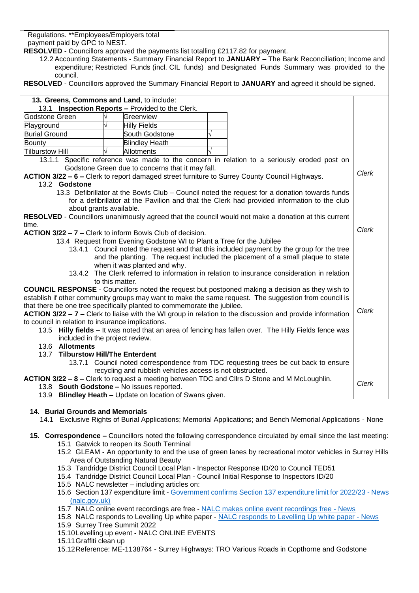Regulations. \*\*Employees/Employers total payment paid by GPC to NEST.

**RESOLVED** - Councillors approved the payments list totalling £2117.82 for payment.

12.2 Accounting Statements - Summary Financial Report to **JANUARY** – The Bank Reconciliation; Income and expenditure; Restricted Funds (incl. CIL funds) and Designated Funds Summary was provided to the council.

**RESOLVED** - Councillors approved the Summary Financial Report to **JANUARY** and agreed it should be signed.

| 13. Greens, Commons and Land, to include:                                                                          |                 |                                                                       |  |                                                                                                         |       |  |  |  |
|--------------------------------------------------------------------------------------------------------------------|-----------------|-----------------------------------------------------------------------|--|---------------------------------------------------------------------------------------------------------|-------|--|--|--|
| 13.1 Inspection Reports - Provided to the Clerk.                                                                   |                 |                                                                       |  |                                                                                                         |       |  |  |  |
| Godstone Green                                                                                                     |                 | Greenview                                                             |  |                                                                                                         |       |  |  |  |
| Playground                                                                                                         |                 | <b>Hilly Fields</b>                                                   |  |                                                                                                         |       |  |  |  |
| <b>Burial Ground</b>                                                                                               | South Godstone  |                                                                       |  |                                                                                                         |       |  |  |  |
| <b>Bounty</b>                                                                                                      |                 | <b>Blindley Heath</b>                                                 |  |                                                                                                         |       |  |  |  |
| <b>Tilburstow Hill</b>                                                                                             |                 | Allotments                                                            |  |                                                                                                         |       |  |  |  |
|                                                                                                                    |                 |                                                                       |  | 13.1.1 Specific reference was made to the concern in relation to a seriously eroded post on             |       |  |  |  |
|                                                                                                                    |                 | Godstone Green due to concerns that it may fall.                      |  |                                                                                                         |       |  |  |  |
|                                                                                                                    |                 |                                                                       |  | ACTION 3/22 - 6 - Clerk to report damaged street furniture to Surrey County Council Highways.           | Clerk |  |  |  |
| 13.2 Godstone                                                                                                      |                 |                                                                       |  |                                                                                                         |       |  |  |  |
|                                                                                                                    |                 |                                                                       |  | 13.3 Defibrillator at the Bowls Club – Council noted the request for a donation towards funds           |       |  |  |  |
|                                                                                                                    |                 |                                                                       |  | for a defibrillator at the Pavilion and that the Clerk had provided information to the club             |       |  |  |  |
| about grants available.                                                                                            |                 |                                                                       |  |                                                                                                         |       |  |  |  |
|                                                                                                                    |                 |                                                                       |  | RESOLVED - Councillors unanimously agreed that the council would not make a donation at this current    |       |  |  |  |
| time.                                                                                                              |                 |                                                                       |  |                                                                                                         |       |  |  |  |
|                                                                                                                    |                 | ACTION 3/22 - 7 - Clerk to inform Bowls Club of decision.             |  |                                                                                                         | Clerk |  |  |  |
|                                                                                                                    |                 | 13.4 Request from Evening Godstone WI to Plant a Tree for the Jubilee |  |                                                                                                         |       |  |  |  |
|                                                                                                                    |                 |                                                                       |  | 13.4.1 Council noted the request and that this included payment by the group for the tree               |       |  |  |  |
|                                                                                                                    |                 |                                                                       |  | and the planting. The request included the placement of a small plaque to state                         |       |  |  |  |
|                                                                                                                    |                 | when it was planted and why.                                          |  |                                                                                                         |       |  |  |  |
|                                                                                                                    |                 |                                                                       |  | 13.4.2 The Clerk referred to information in relation to insurance consideration in relation             |       |  |  |  |
|                                                                                                                    | to this matter. |                                                                       |  |                                                                                                         |       |  |  |  |
|                                                                                                                    |                 |                                                                       |  | <b>COUNCIL RESPONSE</b> - Councillors noted the request but postponed making a decision as they wish to |       |  |  |  |
|                                                                                                                    |                 |                                                                       |  | establish if other community groups may want to make the same request. The suggestion from council is   |       |  |  |  |
| that there be one tree specifically planted to commemorate the jubilee.                                            |                 |                                                                       |  |                                                                                                         |       |  |  |  |
| Clerk<br>ACTION 3/22 - 7 - Clerk to liaise with the WI group in relation to the discussion and provide information |                 |                                                                       |  |                                                                                                         |       |  |  |  |
| to council in relation to insurance implications.                                                                  |                 |                                                                       |  |                                                                                                         |       |  |  |  |
|                                                                                                                    |                 |                                                                       |  | 13.5 Hilly fields - It was noted that an area of fencing has fallen over. The Hilly Fields fence was    |       |  |  |  |
| included in the project review.                                                                                    |                 |                                                                       |  |                                                                                                         |       |  |  |  |
| 13.6 Allotments                                                                                                    |                 |                                                                       |  |                                                                                                         |       |  |  |  |
| 13.7 Tilburstow Hill/The Enterdent                                                                                 |                 |                                                                       |  |                                                                                                         |       |  |  |  |
|                                                                                                                    |                 |                                                                       |  | 13.7.1 Council noted correspondence from TDC requesting trees be cut back to ensure                     |       |  |  |  |
|                                                                                                                    |                 | recycling and rubbish vehicles access is not obstructed.              |  |                                                                                                         |       |  |  |  |
| ACTION 3/22 - 8 - Clerk to request a meeting between TDC and Cllrs D Stone and M McLoughlin.                       |                 |                                                                       |  |                                                                                                         |       |  |  |  |
| 13.8 South Godstone - No issues reported.                                                                          |                 |                                                                       |  |                                                                                                         | Clerk |  |  |  |
|                                                                                                                    |                 | 13.9 Blindley Heath - Update on location of Swans given.              |  |                                                                                                         |       |  |  |  |

#### **14. Burial Grounds and Memorials**

- 14.1 Exclusive Rights of Burial Applications; Memorial Applications; and Bench Memorial Applications None
- **15. Correspondence –** Councillors noted the following correspondence circulated by email since the last meeting: 15.1 Gatwick to reopen its South Terminal
	- 15.2 GLEAM An opportunity to end the use of green lanes by recreational motor vehicles in Surrey Hills Area of Outstanding Natural Beauty
	- 15.3 Tandridge District Council Local Plan Inspector Response ID/20 to Council TED51
	- 15.4 Tandridge District Council Local Plan Council Initial Response to Inspectors ID/20
	- 15.5 NALC newsletter including articles on:
	- 15.6 Section 137 expenditure limit [Government confirms Section 137 expenditure limit for 2022/23 -](https://www.nalc.gov.uk/news/entry/1986-government-confirms-section-137-expenditure-limit-for-2022-23?utm_source=MEMBERS&utm_campaign=43b45e7c91-EMAIL_CAMPAIGN_2018_07_03_10_21_COPY_01&utm_medium=email&utm_term=0_206970988f-43b45e7c91-364594718&mc_cid=43b45e7c91&mc_eid=ce42d5f383) News [\(nalc.gov.uk\)](https://www.nalc.gov.uk/news/entry/1986-government-confirms-section-137-expenditure-limit-for-2022-23?utm_source=MEMBERS&utm_campaign=43b45e7c91-EMAIL_CAMPAIGN_2018_07_03_10_21_COPY_01&utm_medium=email&utm_term=0_206970988f-43b45e7c91-364594718&mc_cid=43b45e7c91&mc_eid=ce42d5f383)
	- 15.7 NALC online event recordings are free [NALC makes online event recordings free -](https://www.nalc.gov.uk/news/entry/1989-nalc-makes-online-event-recordings-free?utm_source=MEMBERS&utm_campaign=43b45e7c91-EMAIL_CAMPAIGN_2018_07_03_10_21_COPY_01&utm_medium=email&utm_term=0_206970988f-43b45e7c91-364594718&mc_cid=43b45e7c91&mc_eid=ce42d5f383) News
	- 15.8 NALC responds to Levelling Up white paper [NALC responds to Levelling Up white paper -](https://www.nalc.gov.uk/news/entry/1982-nalc-responds-to-levelling-up-white-paper?utm_source=MEMBERS&utm_campaign=43b45e7c91-EMAIL_CAMPAIGN_2018_07_03_10_21_COPY_01&utm_medium=email&utm_term=0_206970988f-43b45e7c91-364594718&mc_cid=43b45e7c91&mc_eid=ce42d5f383) News 15.9 Surrey Tree Summit 2022
	- 15.10Levelling up event NALC ONLINE EVENTS
	- 15.11Graffiti clean up
	- 15.12Reference: ME-1138764 Surrey Highways: TRO Various Roads in Copthorne and Godstone